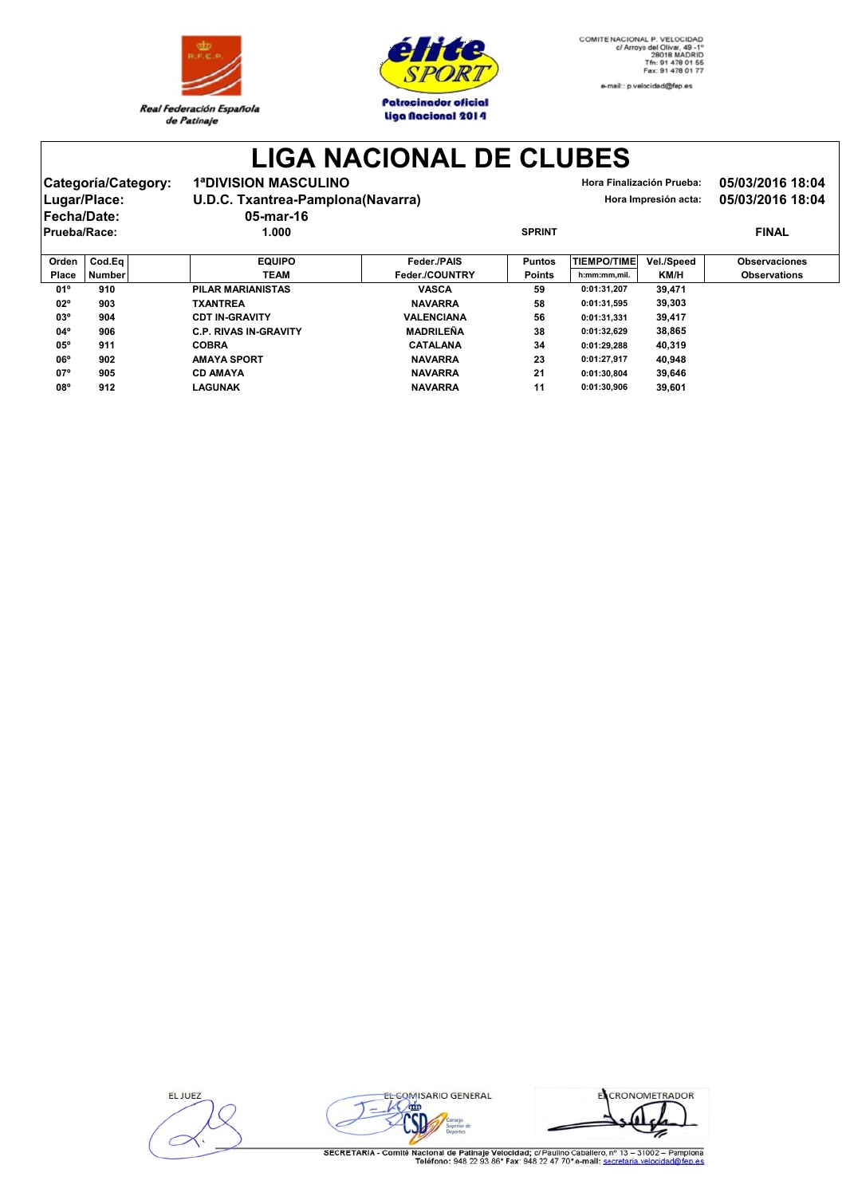



**LIGA NACIONAL DE CLUBES**

| Categoría/Category: | <b>1ªDIVISION MASCULINO</b>                               |             |               |                               | Hora Finalización Prueba: | 05/03/2016 18:04 |
|---------------------|-----------------------------------------------------------|-------------|---------------|-------------------------------|---------------------------|------------------|
| Lugar/Place:        | U.D.C. Txantrea-Pamplona(Navarra)<br>Hora Impresión acta: |             |               |                               |                           | 05/03/2016 18:04 |
| <b>Fecha/Date:</b>  | 05-mar-16                                                 |             |               |                               |                           |                  |
| Prueba/Race:        | 1.000                                                     |             | <b>SPRINT</b> |                               |                           | <b>FINAL</b>     |
|                     |                                                           |             |               |                               |                           |                  |
| Orden Cod Fall      | <b>FOUIPO</b>                                             | Feder /PAIS | Puntos        | <b>TIFMPO/TIME</b> Vel /Sneed |                           | Ohservaciones    |

| Orden        | Cod.Ea        | <b>EQUIPO</b>                | Feder./PAIS       | <b>Puntos</b> | <b>TIEMPO/TIME</b> | Vel./Speed | <b>Observaciones</b> |
|--------------|---------------|------------------------------|-------------------|---------------|--------------------|------------|----------------------|
| Place        | <b>Number</b> | TEAM                         | Feder./COUNTRY    | <b>Points</b> | h:mm:mm,mil.       | KM/H       | <b>Observations</b>  |
| 01°          | 910           | <b>PILAR MARIANISTAS</b>     | <b>VASCA</b>      | 59            | 0:01:31.207        | 39.471     |                      |
| $02^{\circ}$ | 903           | <b>TXANTREA</b>              | <b>NAVARRA</b>    | 58            | 0:01:31.595        | 39.303     |                      |
| $03^{\circ}$ | 904           | <b>CDT IN-GRAVITY</b>        | <b>VALENCIANA</b> | 56            | 0:01:31.331        | 39.417     |                      |
| 04°          | 906           | <b>C.P. RIVAS IN-GRAVITY</b> | <b>MADRILEÑA</b>  | 38            | 0:01:32.629        | 38.865     |                      |
| $05^{\circ}$ | 911           | <b>COBRA</b>                 | <b>CATALANA</b>   | 34            | 0:01:29.288        | 40.319     |                      |
| $06^{\circ}$ | 902           | <b>AMAYA SPORT</b>           | <b>NAVARRA</b>    | 23            | 0:01:27.917        | 40.948     |                      |
| 07°          | 905           | <b>CD AMAYA</b>              | <b>NAVARRA</b>    | 21            | 0:01:30,804        | 39.646     |                      |
| <b>08°</b>   | 912           | LAGUNAK                      | <b>NAVARRA</b>    | 11            | 0:01:30.906        | 39.601     |                      |

**ELJUEZ** 



ECRONOMETRADOR  $\frac{4\pi}{2}$ 

SECRETARIA - Comité Nacional de Patinaje Velocidad; c/ Paulino Caballero, nº 13 - 31002 - Pamplona<br>Teléfono: 948 22 93 86\* Fax: 948 22 47 70\* e-mail: secretaria.velocidad@fep.es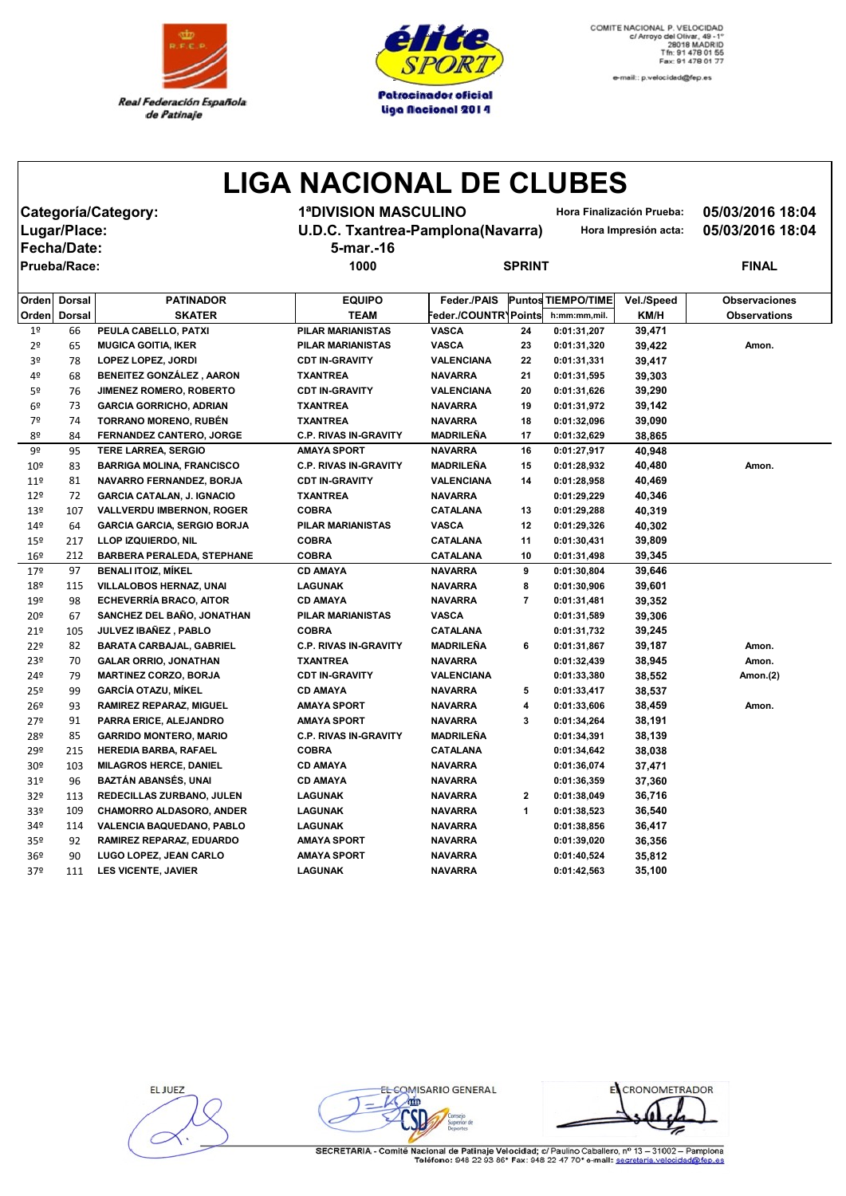



e-mail:: p.velocidad@fep.es

## **LIGA NACIONAL DE CLUBES**

**Fecha/Date: 5-mar.-16**

**Categoría/Category: 1ªDIVISION MASCULINO Hora Finalización Prueba: 05/03/2016 18:04**

**Lugar/Place: U.D.C. Txantrea-Pamplona(Navarra) Hora Impresión acta: 05/03/2016 18:04**

| Hora Impr |  |
|-----------|--|
|           |  |

**Prueba/Race: 1000 SPRINT FINAL**

| Orden           | <b>Dorsal</b> | <b>PATINADOR</b>                   | <b>EQUIPO</b>                | Feder./PAIS          |                         | <b>Puntos TIEMPO/TIME</b> | Vel./Speed  | <b>Observaciones</b> |
|-----------------|---------------|------------------------------------|------------------------------|----------------------|-------------------------|---------------------------|-------------|----------------------|
| Orden           | <b>Dorsal</b> | <b>SKATER</b>                      | <b>TEAM</b>                  | Feder./COUNTRYPoints |                         | h:mm:mm,mil.              | <b>KM/H</b> | <b>Observations</b>  |
| 1 <sup>°</sup>  | 66            | PEULA CABELLO, PATXI               | <b>PILAR MARIANISTAS</b>     | <b>VASCA</b>         | 24                      | 0:01:31,207               | 39,471      |                      |
| 2º              | 65            | <b>MUGICA GOITIA, IKER</b>         | PILAR MARIANISTAS            | <b>VASCA</b>         | 23                      | 0:01:31,320               | 39,422      | Amon.                |
| 3º              | 78            | <b>LOPEZ LOPEZ, JORDI</b>          | <b>CDT IN-GRAVITY</b>        | <b>VALENCIANA</b>    | 22                      | 0:01:31,331               | 39,417      |                      |
| 4º              | 68            | <b>BENEITEZ GONZÁLEZ, AARON</b>    | <b>TXANTREA</b>              | <b>NAVARRA</b>       | 21                      | 0:01:31,595               | 39,303      |                      |
| 5º              | 76            | <b>JIMENEZ ROMERO, ROBERTO</b>     | <b>CDT IN-GRAVITY</b>        | <b>VALENCIANA</b>    | 20                      | 0:01:31,626               | 39,290      |                      |
| 6º              | 73            | <b>GARCIA GORRICHO, ADRIAN</b>     | <b>TXANTREA</b>              | <b>NAVARRA</b>       | 19                      | 0:01:31,972               | 39,142      |                      |
| 7º              | 74            | <b>TORRANO MORENO, RUBÉN</b>       | <b>TXANTREA</b>              | <b>NAVARRA</b>       | 18                      | 0:01:32,096               | 39,090      |                      |
| 8º              | 84            | FERNANDEZ CANTERO, JORGE           | <b>C.P. RIVAS IN-GRAVITY</b> | <b>MADRILEÑA</b>     | 17                      | 0:01:32,629               | 38,865      |                      |
| 9º              | 95            | <b>TERE LARREA, SERGIO</b>         | <b>AMAYA SPORT</b>           | <b>NAVARRA</b>       | 16                      | 0:01:27,917               | 40,948      |                      |
| 10 <sup>°</sup> | 83            | <b>BARRIGA MOLINA, FRANCISCO</b>   | <b>C.P. RIVAS IN-GRAVITY</b> | <b>MADRILEÑA</b>     | 15                      | 0:01:28,932               | 40,480      | Amon.                |
| 11 <sup>°</sup> | 81            | NAVARRO FERNANDEZ, BORJA           | <b>CDT IN-GRAVITY</b>        | VALENCIANA           | 14                      | 0:01:28,958               | 40,469      |                      |
| 12 <sup>°</sup> | 72            | <b>GARCIA CATALAN, J. IGNACIO</b>  | <b>TXANTREA</b>              | <b>NAVARRA</b>       |                         | 0:01:29,229               | 40,346      |                      |
| 13º             | 107           | <b>VALLVERDU IMBERNON, ROGER</b>   | <b>COBRA</b>                 | CATALANA             | 13                      | 0:01:29,288               | 40,319      |                      |
| 14º             | 64            | <b>GARCIA GARCIA, SERGIO BORJA</b> | <b>PILAR MARIANISTAS</b>     | <b>VASCA</b>         | 12                      | 0:01:29,326               | 40,302      |                      |
| 15 <sup>°</sup> | 217           | LLOP IZQUIERDO, NIL                | <b>COBRA</b>                 | <b>CATALANA</b>      | 11                      | 0:01:30,431               | 39,809      |                      |
| 16º             | 212           | <b>BARBERA PERALEDA, STEPHANE</b>  | <b>COBRA</b>                 | CATALANA             | 10                      | 0:01:31,498               | 39,345      |                      |
| 17º             | 97            | <b>BENALI ITOIZ, MIKEL</b>         | <b>CD AMAYA</b>              | <b>NAVARRA</b>       | 9                       | 0:01:30,804               | 39,646      |                      |
| 18º             | 115           | VILLALOBOS HERNAZ, UNAI            | <b>LAGUNAK</b>               | <b>NAVARRA</b>       | 8                       | 0:01:30,906               | 39,601      |                      |
| 19º             | 98            | <b>ECHEVERRÍA BRACO, AITOR</b>     | <b>CD AMAYA</b>              | <b>NAVARRA</b>       | $\overline{7}$          | 0:01:31,481               | 39,352      |                      |
| 20º             | 67            | SANCHEZ DEL BAÑO, JONATHAN         | <b>PILAR MARIANISTAS</b>     | <b>VASCA</b>         |                         | 0:01:31,589               | 39,306      |                      |
| 21°             | 105           | JULVEZ IBAÑEZ, PABLO               | <b>COBRA</b>                 | CATALANA             |                         | 0:01:31,732               | 39,245      |                      |
| 22º             | 82            | <b>BARATA CARBAJAL, GABRIEL</b>    | <b>C.P. RIVAS IN-GRAVITY</b> | <b>MADRILEÑA</b>     | 6                       | 0:01:31,867               | 39,187      | Amon.                |
| 23º             | 70            | <b>GALAR ORRIO, JONATHAN</b>       | <b>TXANTREA</b>              | <b>NAVARRA</b>       |                         | 0:01:32,439               | 38,945      | Amon.                |
| 24º             | 79            | <b>MARTINEZ CORZO, BORJA</b>       | <b>CDT IN-GRAVITY</b>        | <b>VALENCIANA</b>    |                         | 0:01:33,380               | 38,552      | Amon.(2)             |
| 25 <sup>°</sup> | 99            | <b>GARCÍA OTAZU, MÍKEL</b>         | <b>CD AMAYA</b>              | <b>NAVARRA</b>       | 5                       | 0:01:33,417               | 38,537      |                      |
| 26º             | 93            | RAMIREZ REPARAZ, MIGUEL            | <b>AMAYA SPORT</b>           | <b>NAVARRA</b>       | 4                       | 0:01:33,606               | 38,459      | Amon.                |
| 27º             | 91            | PARRA ERICE, ALEJANDRO             | <b>AMAYA SPORT</b>           | <b>NAVARRA</b>       | 3                       | 0:01:34,264               | 38,191      |                      |
| 28º             | 85            | <b>GARRIDO MONTERO, MARIO</b>      | <b>C.P. RIVAS IN-GRAVITY</b> | <b>MADRILEÑA</b>     |                         | 0:01:34,391               | 38,139      |                      |
| 29º             | 215           | <b>HEREDIA BARBA, RAFAEL</b>       | <b>COBRA</b>                 | CATALANA             |                         | 0:01:34,642               | 38,038      |                      |
| 30º             | 103           | <b>MILAGROS HERCE, DANIEL</b>      | <b>CD AMAYA</b>              | <b>NAVARRA</b>       |                         | 0:01:36,074               | 37,471      |                      |
| 31 <sup>°</sup> | 96            | <b>BAZTÁN ABANSÉS, UNAI</b>        | <b>CD AMAYA</b>              | <b>NAVARRA</b>       |                         | 0:01:36,359               | 37,360      |                      |
| 32º             | 113           | REDECILLAS ZURBANO, JULEN          | <b>LAGUNAK</b>               | <b>NAVARRA</b>       | $\overline{\mathbf{2}}$ | 0:01:38,049               | 36,716      |                      |
| 33º             | 109           | <b>CHAMORRO ALDASORO, ANDER</b>    | <b>LAGUNAK</b>               | <b>NAVARRA</b>       | 1                       | 0:01:38,523               | 36,540      |                      |
| 34º             | 114           | <b>VALENCIA BAQUEDANO, PABLO</b>   | <b>LAGUNAK</b>               | <b>NAVARRA</b>       |                         | 0:01:38,856               | 36,417      |                      |
| 35º             | 92            | RAMIREZ REPARAZ, EDUARDO           | <b>AMAYA SPORT</b>           | <b>NAVARRA</b>       |                         | 0:01:39,020               | 36,356      |                      |
| 36º             | 90            | LUGO LOPEZ, JEAN CARLO             | <b>AMAYA SPORT</b>           | <b>NAVARRA</b>       |                         | 0:01:40,524               | 35,812      |                      |
| 37º             | 111           | <b>LES VICENTE, JAVIER</b>         | <b>LAGUNAK</b>               | <b>NAVARRA</b>       |                         | 0:01:42,563               | 35,100      |                      |
|                 |               |                                    |                              |                      |                         |                           |             |                      |

EL JUEZ

EL COMISARIO GENERAL

EL CRONOMETRADOR

SECRETARIA - Comité Nacional de Patinaje Velocidad; c/ Paulino Caballero, nº 13 - 31002 - Pamplona<br>Teléfono: 948 22 93 86\* Fax: 948 22 97 70\* e-mail: secretaria velocidad@fen.es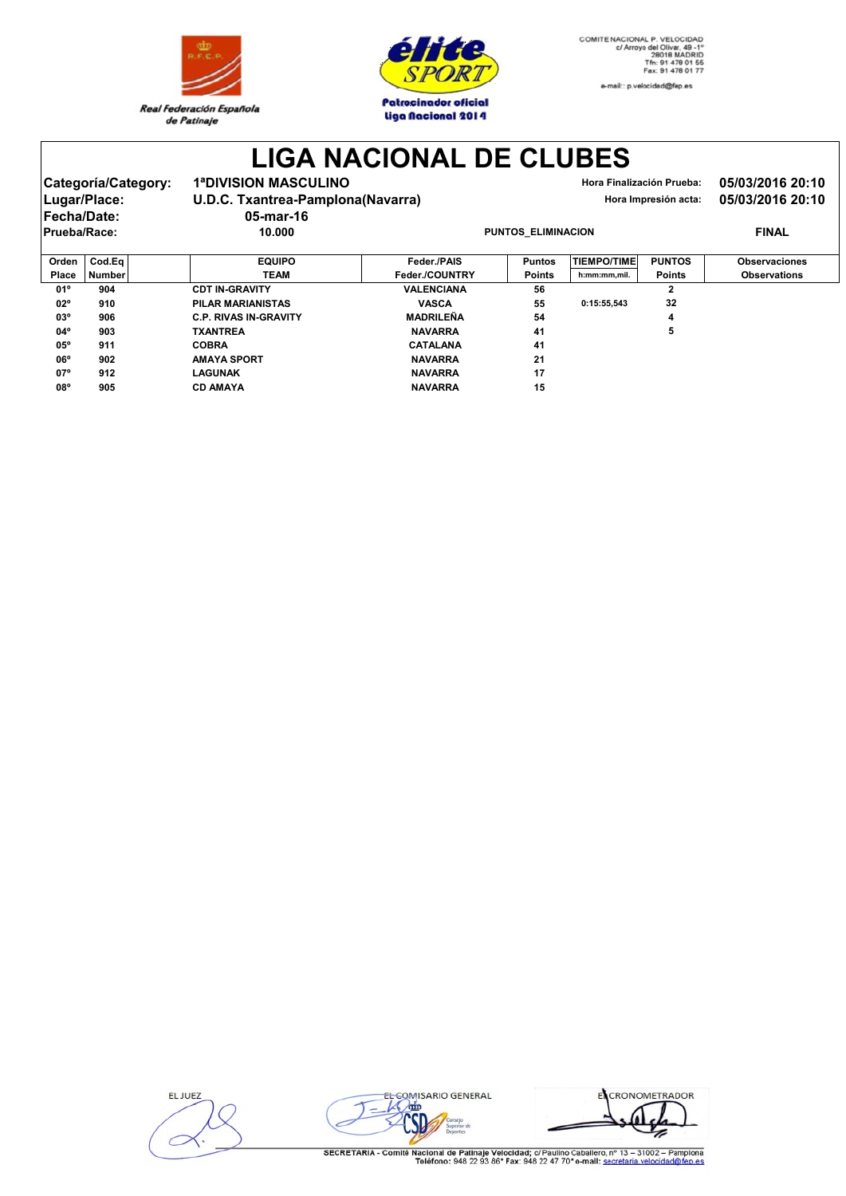



**LIGA NACIONAL DE CLUBES**

| Categoría/Category:<br>Lugar/Place:<br><b>IFecha/Date:</b> |                                | <b>1ªDIVISION MASCULINO</b><br>U.D.C. Txantrea-Pamplona(Navarra) | Hora Finalización Prueba:<br>Hora Impresión acta: |                           |                    |                        | 05/03/2016 20:10<br>05/03/2016 20:10 |
|------------------------------------------------------------|--------------------------------|------------------------------------------------------------------|---------------------------------------------------|---------------------------|--------------------|------------------------|--------------------------------------|
|                                                            | Prueba/Race:                   | 05-mar-16<br>10.000                                              |                                                   | <b>PUNTOS ELIMINACION</b> |                    |                        | <b>FINAL</b>                         |
|                                                            | Orden<br>Cod.Ea<br>.<br>$\sim$ | <b>EQUIPO</b><br>-----                                           | Feder./PAIS                                       | <b>Puntos</b><br>- - -    | <b>TIEMPO/TIME</b> | <b>PUNTOS</b><br>- - - | <b>Observaciones</b>                 |

| Place        | <b>Number</b> | <b>TEAM</b>                  | Feder./COUNTRY    | <b>Points</b> | h:mm:mm,mil. | <b>Points</b> | <b>Observations</b> |
|--------------|---------------|------------------------------|-------------------|---------------|--------------|---------------|---------------------|
| 01°          | 904           | <b>CDT IN-GRAVITY</b>        | <b>VALENCIANA</b> | 56            |              |               |                     |
| $02^{\circ}$ | 910           | PILAR MARIANISTAS            | <b>VASCA</b>      | 55            | 0:15:55.543  | 32            |                     |
| $03^{\circ}$ | 906           | <b>C.P. RIVAS IN-GRAVITY</b> | <b>MADRILEÑA</b>  | 54            |              |               |                     |
| $04^{\circ}$ | 903           | <b>TXANTREA</b>              | <b>NAVARRA</b>    | 41            |              | э             |                     |
| $05^{\circ}$ | 911           | <b>COBRA</b>                 | <b>CATALANA</b>   | 41            |              |               |                     |
| $06^{\circ}$ | 902           | <b>AMAYA SPORT</b>           | <b>NAVARRA</b>    | 21            |              |               |                     |
| $07^{\circ}$ | 912           | <b>LAGUNAK</b>               | <b>NAVARRA</b>    | 17            |              |               |                     |
| $08^{\circ}$ | 905           | <b>CD AMAYA</b>              | <b>NAVARRA</b>    | 15            |              |               |                     |

**ELJUEZ** 



ECRONOMETRADOR  $\frac{4}{\pi}$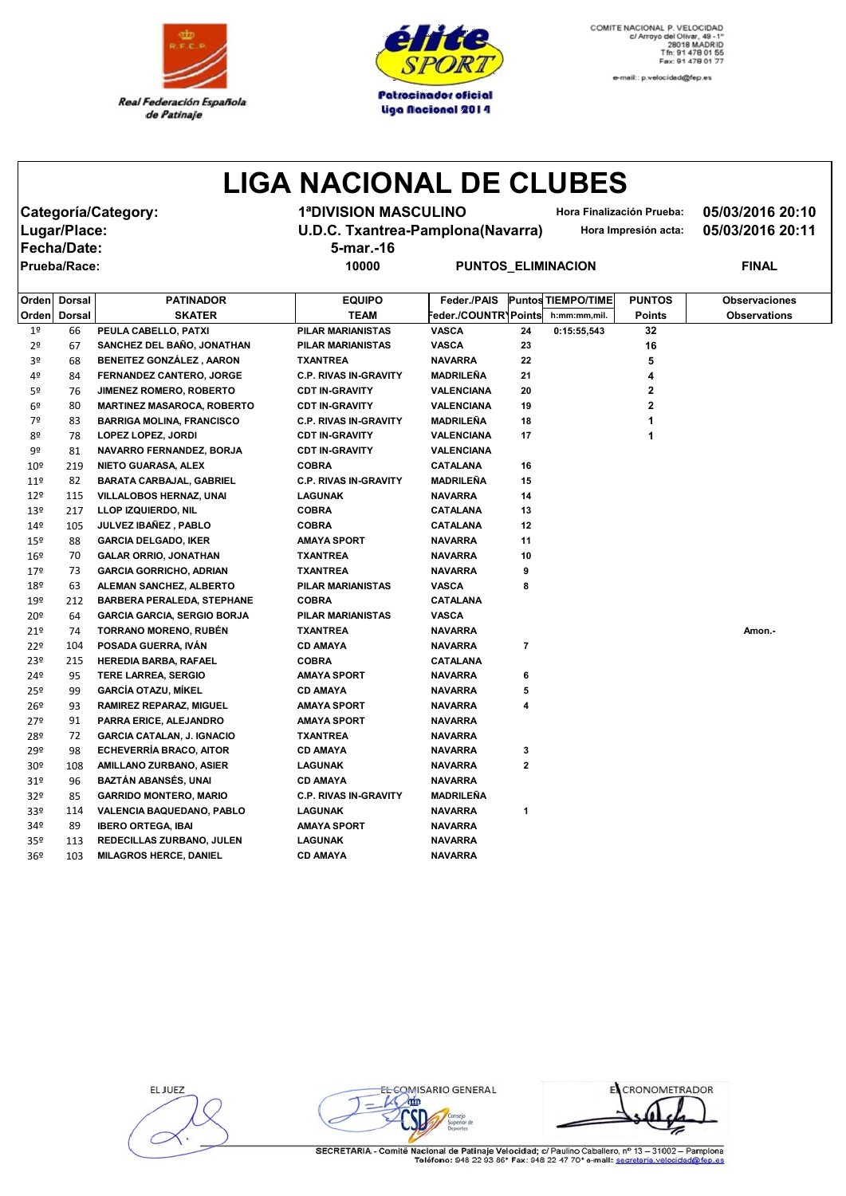



e-mail:: p.velocidad@fep.es

## **LIGA NACIONAL DE CLUBES**

**Categoría/Category: 1ªDIVISION MASCULINO Hora Finalización Prueba: 05/03/2016 20:10 Fecha/Date: 5-mar.-16**

**Lugar/Place: U.D.C. Txantrea-Pamplona(Navarra) Hora Impresión acta: 05/03/2016 20:11**

**Prueba/Race: 10000 PUNTOS\_ELIMINACION FINAL**

| Ordenl          | Dorsal | <b>PATINADOR</b>                   | EQUIPO                       | Feder./PAIS          | <b>Puntos TIEMPO/TIME</b> | <b>PUNTOS</b> | <b>Observaciones</b> |
|-----------------|--------|------------------------------------|------------------------------|----------------------|---------------------------|---------------|----------------------|
| Ordenl          | Dorsal | <b>SKATER</b>                      | <b>TEAM</b>                  | Feder./COUNTR\Points | h:mm:mm,mil.              | Points        | <b>Observations</b>  |
| 1º              | 66     | PEULA CABELLO, PATXI               | <b>PILAR MARIANISTAS</b>     | <b>VASCA</b>         | 24<br>0:15:55,543         | 32            |                      |
| 2º              | 67     | SANCHEZ DEL BAÑO, JONATHAN         | PILAR MARIANISTAS            | <b>VASCA</b>         | 23                        | 16            |                      |
| 3º              | 68     | <b>BENEITEZ GONZÁLEZ, AARON</b>    | TXANTREA                     | <b>NAVARRA</b>       | 22                        | 5             |                      |
| 4º              | 84     | <b>FERNANDEZ CANTERO, JORGE</b>    | <b>C.P. RIVAS IN-GRAVITY</b> | <b>MADRILENA</b>     | 21                        | 4             |                      |
| 5º              | 76     | <b>JIMENEZ ROMERO, ROBERTO</b>     | <b>CDT IN-GRAVITY</b>        | VALENCIANA           | 20                        | 2             |                      |
| 6º              | 80     | <b>MARTINEZ MASAROCA, ROBERTO</b>  | <b>CDT IN-GRAVITY</b>        | VALENCIANA           | 19                        | 2             |                      |
| 7º              | 83     | <b>BARRIGA MOLINA, FRANCISCO</b>   | <b>C.P. RIVAS IN-GRAVITY</b> | <b>MADRILEÑA</b>     | 18                        |               |                      |
| 8º              | 78     | LOPEZ LOPEZ, JORDI                 | <b>CDT IN-GRAVITY</b>        | VALENCIANA           | 17                        | 1             |                      |
| 9º              | 81     | <b>NAVARRO FERNANDEZ, BORJA</b>    | <b>CDT IN-GRAVITY</b>        | VALENCIANA           |                           |               |                      |
| 10 <sup>°</sup> | 219    | NIETO GUARASA, ALEX                | <b>COBRA</b>                 | CATALANA             | 16                        |               |                      |
| 11 <sup>°</sup> | 82     | <b>BARATA CARBAJAL, GABRIEL</b>    | <b>C.P. RIVAS IN-GRAVITY</b> | <b>MADRILEÑA</b>     | 15                        |               |                      |
| 12º             | 115    | VILLALOBOS HERNAZ, UNAI            | <b>LAGUNAK</b>               | <b>NAVARRA</b>       | 14                        |               |                      |
| 13º             | 217    | LLOP IZQUIERDO, NIL                | <b>COBRA</b>                 | CATALANA             | 13                        |               |                      |
| 14º             | 105    | JULVEZ IBAÑEZ, PABLO               | <b>COBRA</b>                 | CATALANA             | 12                        |               |                      |
| 159             | 88     | <b>GARCIA DELGADO, IKER</b>        | AMAYA SPORT                  | <b>NAVARRA</b>       | 11                        |               |                      |
| 16º             | 70     | <b>GALAR ORRIO, JONATHAN</b>       | <b>TXANTREA</b>              | <b>NAVARRA</b>       | 10                        |               |                      |
| 17º             | 73     | <b>GARCIA GORRICHO, ADRIAN</b>     | <b>TXANTREA</b>              | <b>NAVARRA</b>       | 9                         |               |                      |
| 18º             | 63     | ALEMAN SANCHEZ, ALBERTO            | PILAR MARIANISTAS            | <b>VASCA</b>         | 8                         |               |                      |
| 19º             | 212    | <b>BARBERA PERALEDA, STEPHANE</b>  | <b>COBRA</b>                 | <b>CATALANA</b>      |                           |               |                      |
| 20º             | 64     | <b>GARCIA GARCIA, SERGIO BORJA</b> | PILAR MARIANISTAS            | <b>VASCA</b>         |                           |               |                      |
| 21°             | 74     | <b>TORRANO MORENO, RUBÉN</b>       | <b>TXANTREA</b>              | <b>NAVARRA</b>       |                           |               | Amon.-               |
| 22º             | 104    | POSADA GUERRA, IVAN                | <b>CD AMAYA</b>              | <b>NAVARRA</b>       | 7                         |               |                      |
| 23º             | 215    | HEREDIA BARBA, RAFAEL              | <b>COBRA</b>                 | CATALANA             |                           |               |                      |
| 24º             | 95     | <b>TERE LARREA, SERGIO</b>         | AMAYA SPORT                  | <b>NAVARRA</b>       | 6                         |               |                      |
| 25 <sup>°</sup> | 99     | <b>GARCÍA OTAZU, MÍKEL</b>         | <b>CD AMAYA</b>              | <b>NAVARRA</b>       | 5                         |               |                      |
| 26º             | 93     | RAMIREZ REPARAZ, MIGUEL            | AMAYA SPORT                  | <b>NAVARRA</b>       | 4                         |               |                      |
| 27º             | 91     | PARRA ERICE, ALEJANDRO             | <b>AMAYA SPORT</b>           | <b>NAVARRA</b>       |                           |               |                      |
| 28º             | 72     | <b>GARCIA CATALAN, J. IGNACIO</b>  | <b>TXANTREA</b>              | <b>NAVARRA</b>       |                           |               |                      |
| 29º             | 98     | <b>ECHEVERRÍA BRACO, AITOR</b>     | <b>CD AMAYA</b>              | <b>NAVARRA</b>       | 3                         |               |                      |
| 30º             | 108    | AMILLANO ZURBANO, ASIER            | LAGUNAK                      | <b>NAVARRA</b>       | $\mathbf{2}$              |               |                      |
| 31 <sup>o</sup> | 96     | <b>BAZTÁN ABANSÉS, UNAI</b>        | <b>CD AMAYA</b>              | <b>NAVARRA</b>       |                           |               |                      |
| 32º             | 85     | <b>GARRIDO MONTERO, MARIO</b>      | <b>C.P. RIVAS IN-GRAVITY</b> | <b>MADRILEÑA</b>     |                           |               |                      |
| 33º             | 114    | VALENCIA BAQUEDANO, PABLO          | LAGUNAK                      | <b>NAVARRA</b>       | 1                         |               |                      |
| 34º             | 89     | <b>IBERO ORTEGA, IBAI</b>          | <b>AMAYA SPORT</b>           | <b>NAVARRA</b>       |                           |               |                      |
| 35º             | 113    | REDECILLAS ZURBANO, JULEN          | <b>LAGUNAK</b>               | <b>NAVARRA</b>       |                           |               |                      |
| 36º             | 103    | <b>MILAGROS HERCE, DANIEL</b>      | <b>CD AMAYA</b>              | <b>NAVARRA</b>       |                           |               |                      |
|                 |        |                                    |                              |                      |                           |               |                      |

EL JUEZ

EL COMISARIO GENERAL in

EL CRONOMETRADOR

SECRETARIA - Comité Nacional de Patinaje Velocidad; c/ Paulino Caballero, nº 13 - 31002 - Pamplona<br>Teléfono: 948 22 93 86\* Fax: 948 22 97 70\* e-mail: secretaria velocidad@fen.es